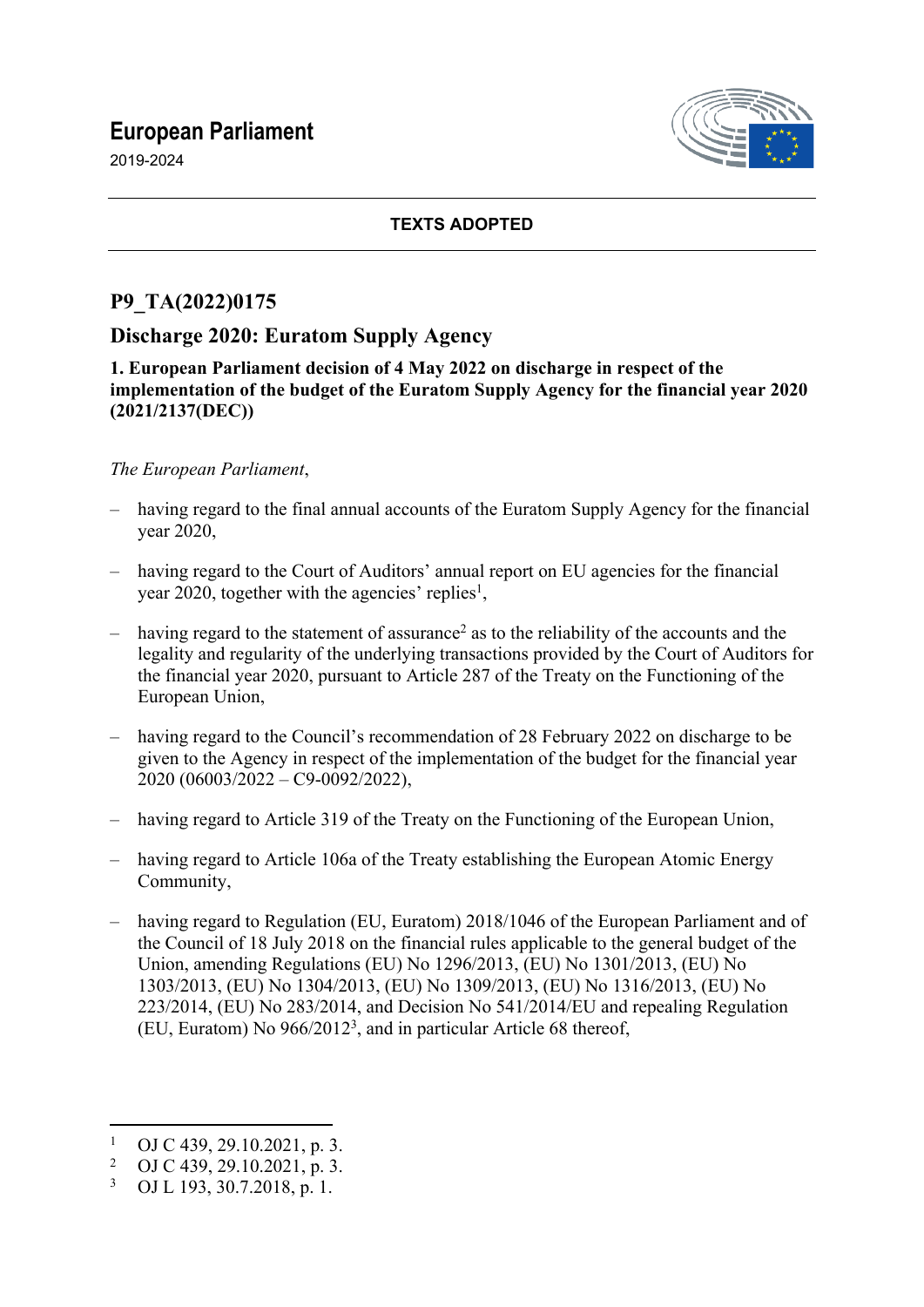# **European Parliament**

2019-2024



### **TEXTS ADOPTED**

## **P9\_TA(2022)0175**

## **Discharge 2020: Euratom Supply Agency**

**1. European Parliament decision of 4 May 2022 on discharge in respect of the implementation of the budget of the Euratom Supply Agency for the financial year 2020 (2021/2137(DEC))**

#### *The European Parliament*,

- having regard to the final annual accounts of the Euratom Supply Agency for the financial year 2020,
- having regard to the Court of Auditors' annual report on EU agencies for the financial year 2020, together with the agencies' replies<sup>1</sup>,
- $-$  having regard to the statement of assurance<sup>2</sup> as to the reliability of the accounts and the legality and regularity of the underlying transactions provided by the Court of Auditors for the financial year 2020, pursuant to Article 287 of the Treaty on the Functioning of the European Union,
- having regard to the Council's recommendation of 28 February 2022 on discharge to be given to the Agency in respect of the implementation of the budget for the financial year 2020 (06003/2022 – C9-0092/2022),
- having regard to Article 319 of the Treaty on the Functioning of the European Union,
- having regard to Article 106a of the Treaty establishing the European Atomic Energy Community,
- having regard to Regulation (EU, Euratom) 2018/1046 of the European Parliament and of the Council of 18 July 2018 on the financial rules applicable to the general budget of the Union, amending Regulations (EU) No 1296/2013, (EU) No 1301/2013, (EU) No 1303/2013, (EU) No 1304/2013, (EU) No 1309/2013, (EU) No 1316/2013, (EU) No 223/2014, (EU) No 283/2014, and Decision No 541/2014/EU and repealing Regulation (EU, Euratom) No 966/2012<sup>3</sup> , and in particular Article 68 thereof,

<sup>1</sup> OJ C 439, 29.10.2021, p. 3.

<sup>2</sup> OJ C 439, 29.10.2021, p. 3.

<sup>3</sup> OJ L 193, 30.7.2018, p. 1.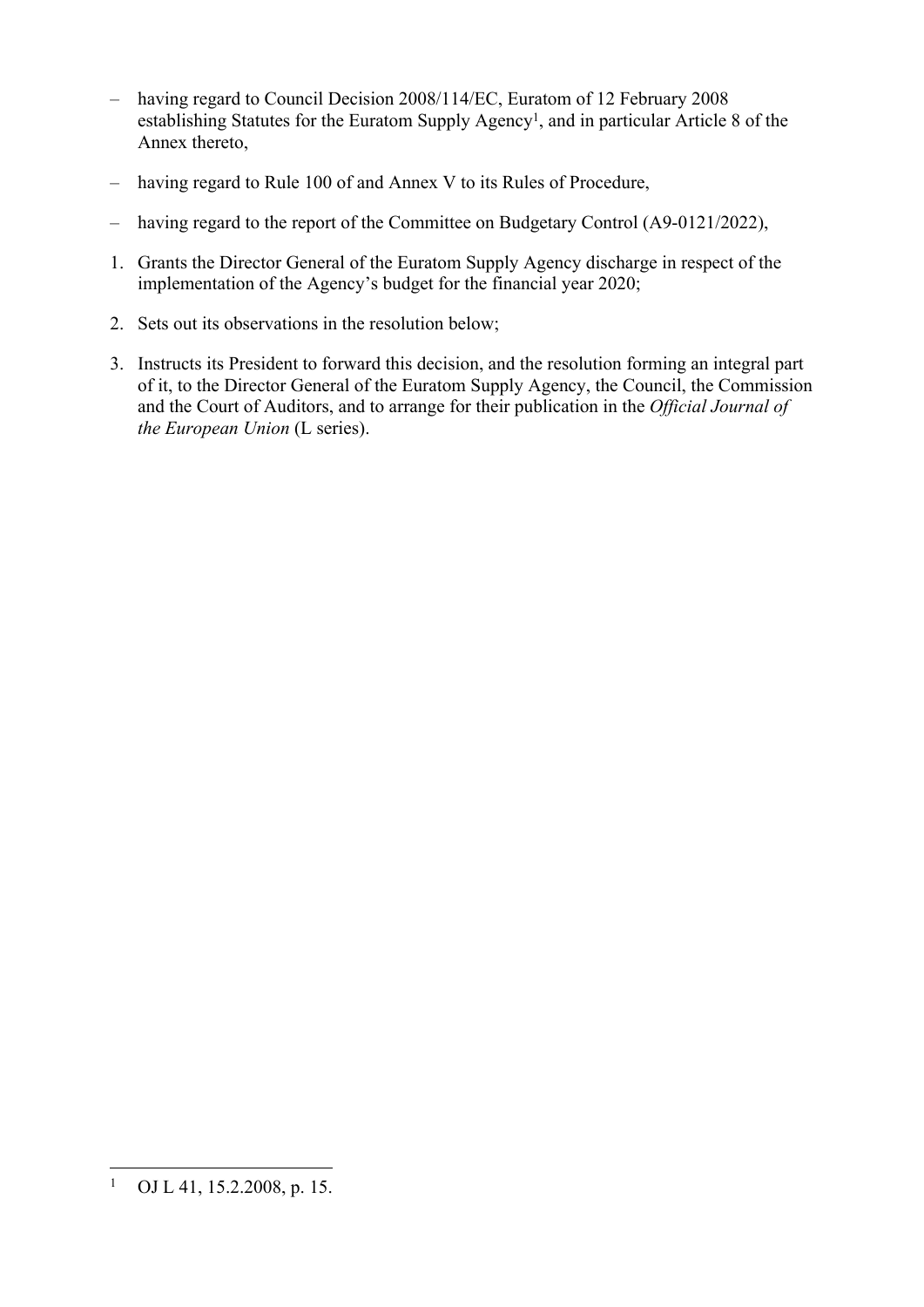- having regard to Council Decision 2008/114/EC, Euratom of 12 February 2008 establishing Statutes for the Euratom Supply Agency<sup>1</sup>, and in particular Article 8 of the Annex thereto,
- having regard to Rule 100 of and Annex V to its Rules of Procedure,
- having regard to the report of the Committee on Budgetary Control (A9-0121/2022),
- 1. Grants the Director General of the Euratom Supply Agency discharge in respect of the implementation of the Agency's budget for the financial year 2020;
- 2. Sets out its observations in the resolution below;
- 3. Instructs its President to forward this decision, and the resolution forming an integral part of it, to the Director General of the Euratom Supply Agency, the Council, the Commission and the Court of Auditors, and to arrange for their publication in the *Official Journal of the European Union* (L series).

<sup>1</sup> OJ L 41, 15.2.2008, p. 15.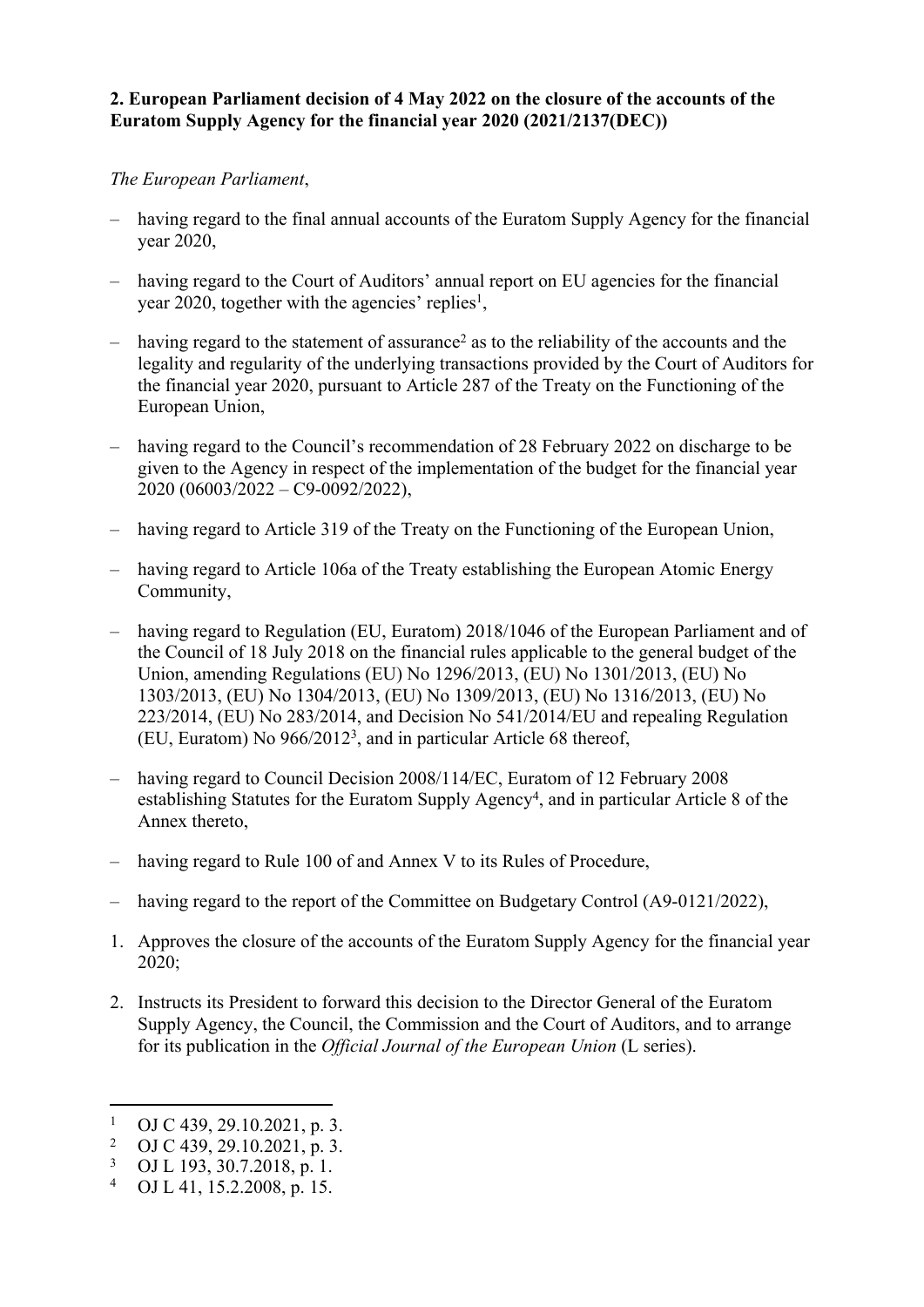#### **2. European Parliament decision of 4 May 2022 on the closure of the accounts of the Euratom Supply Agency for the financial year 2020 (2021/2137(DEC))**

#### *The European Parliament*,

- having regard to the final annual accounts of the Euratom Supply Agency for the financial year 2020,
- having regard to the Court of Auditors' annual report on EU agencies for the financial year 2020, together with the agencies' replies<sup>1</sup>,
- $-$  having regard to the statement of assurance<sup>2</sup> as to the reliability of the accounts and the legality and regularity of the underlying transactions provided by the Court of Auditors for the financial year 2020, pursuant to Article 287 of the Treaty on the Functioning of the European Union,
- having regard to the Council's recommendation of 28 February 2022 on discharge to be given to the Agency in respect of the implementation of the budget for the financial year 2020 (06003/2022 – C9-0092/2022),
- having regard to Article 319 of the Treaty on the Functioning of the European Union,
- having regard to Article 106a of the Treaty establishing the European Atomic Energy Community,
- having regard to Regulation (EU, Euratom) 2018/1046 of the European Parliament and of the Council of 18 July 2018 on the financial rules applicable to the general budget of the Union, amending Regulations (EU) No 1296/2013, (EU) No 1301/2013, (EU) No 1303/2013, (EU) No 1304/2013, (EU) No 1309/2013, (EU) No 1316/2013, (EU) No 223/2014, (EU) No 283/2014, and Decision No 541/2014/EU and repealing Regulation (EU, Euratom) No 966/2012<sup>3</sup> , and in particular Article 68 thereof,
- having regard to Council Decision 2008/114/EC, Euratom of 12 February 2008 establishing Statutes for the Euratom Supply Agency<sup>4</sup>, and in particular Article 8 of the Annex thereto,
- having regard to Rule 100 of and Annex V to its Rules of Procedure,
- having regard to the report of the Committee on Budgetary Control (A9-0121/2022),
- 1. Approves the closure of the accounts of the Euratom Supply Agency for the financial year  $2020$
- 2. Instructs its President to forward this decision to the Director General of the Euratom Supply Agency, the Council, the Commission and the Court of Auditors, and to arrange for its publication in the *Official Journal of the European Union* (L series).

<sup>1</sup> OJ C 439, 29.10.2021, p. 3.

<sup>2</sup> OJ C 439, 29.10.2021, p. 3.

<sup>3</sup> OJ L 193, 30.7.2018, p. 1.

<sup>4</sup> OJ L 41, 15.2.2008, p. 15.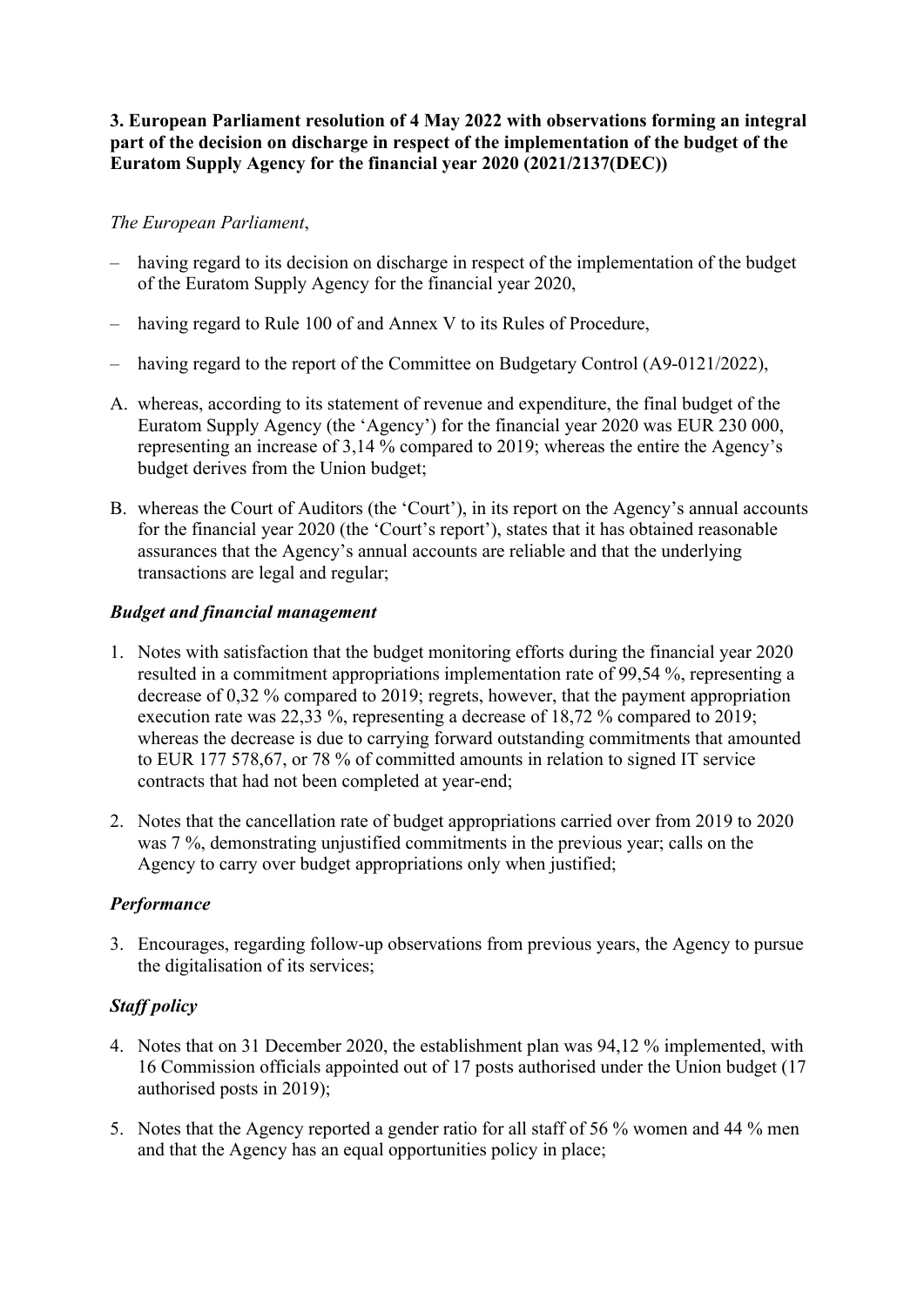#### **3. European Parliament resolution of 4 May 2022 with observations forming an integral part of the decision on discharge in respect of the implementation of the budget of the Euratom Supply Agency for the financial year 2020 (2021/2137(DEC))**

### *The European Parliament*,

- having regard to its decision on discharge in respect of the implementation of the budget of the Euratom Supply Agency for the financial year 2020,
- having regard to Rule 100 of and Annex V to its Rules of Procedure,
- having regard to the report of the Committee on Budgetary Control (A9-0121/2022),
- A. whereas, according to its statement of revenue and expenditure, the final budget of the Euratom Supply Agency (the 'Agency') for the financial year 2020 was EUR 230 000, representing an increase of 3,14 % compared to 2019; whereas the entire the Agency's budget derives from the Union budget;
- B. whereas the Court of Auditors (the 'Court'), in its report on the Agency's annual accounts for the financial year 2020 (the 'Court's report'), states that it has obtained reasonable assurances that the Agency's annual accounts are reliable and that the underlying transactions are legal and regular;

### *Budget and financial management*

- 1. Notes with satisfaction that the budget monitoring efforts during the financial year 2020 resulted in a commitment appropriations implementation rate of 99,54 %, representing a decrease of 0,32 % compared to 2019; regrets, however, that the payment appropriation execution rate was 22,33 %, representing a decrease of 18,72 % compared to 2019; whereas the decrease is due to carrying forward outstanding commitments that amounted to EUR 177 578,67, or 78 % of committed amounts in relation to signed IT service contracts that had not been completed at year-end;
- 2. Notes that the cancellation rate of budget appropriations carried over from 2019 to 2020 was 7 %, demonstrating unjustified commitments in the previous year; calls on the Agency to carry over budget appropriations only when justified;

## *Performance*

3. Encourages, regarding follow-up observations from previous years, the Agency to pursue the digitalisation of its services;

## *Staff policy*

- 4. Notes that on 31 December 2020, the establishment plan was 94,12 % implemented, with 16 Commission officials appointed out of 17 posts authorised under the Union budget (17 authorised posts in 2019);
- 5. Notes that the Agency reported a gender ratio for all staff of 56 % women and 44 % men and that the Agency has an equal opportunities policy in place;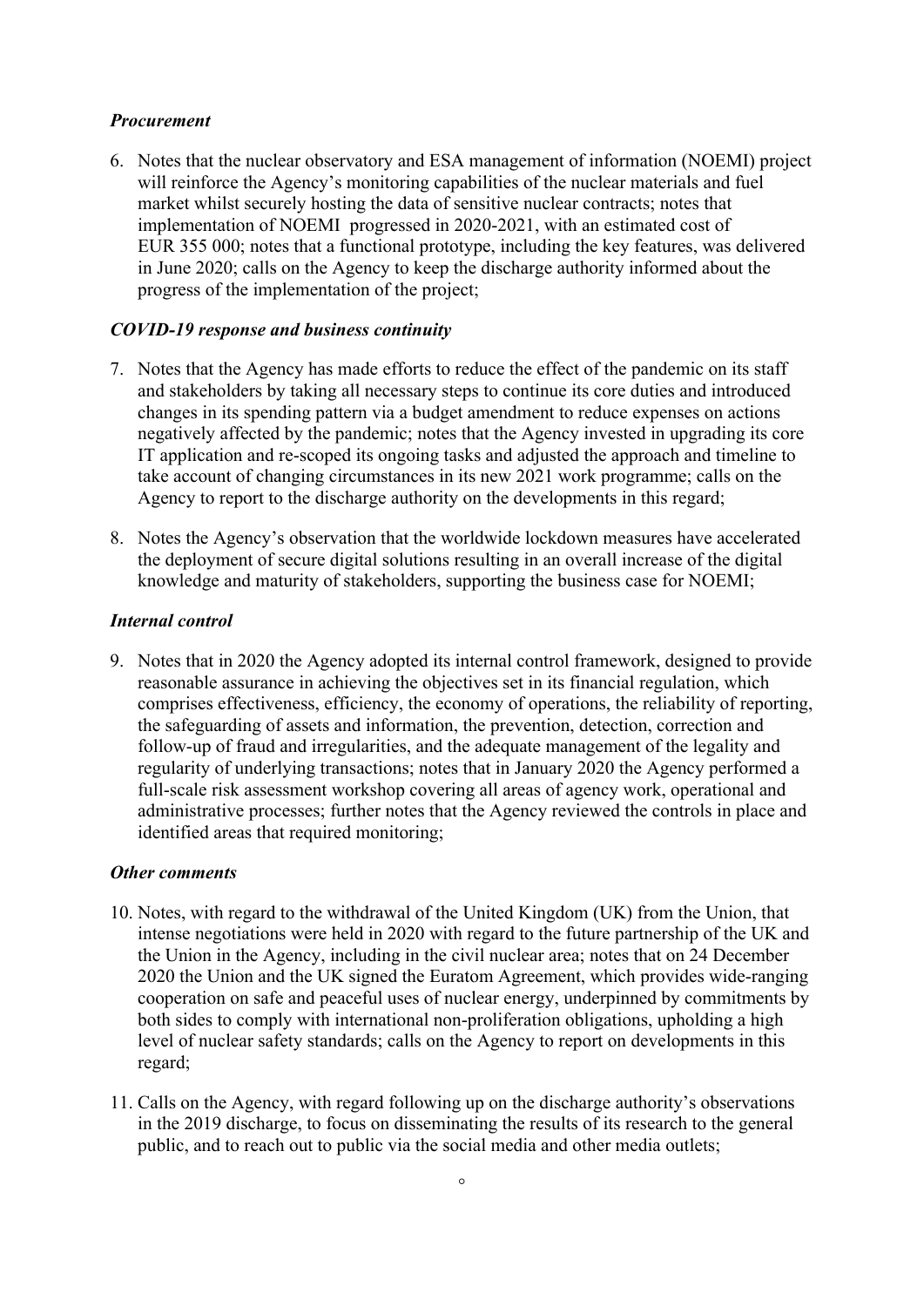#### *Procurement*

6. Notes that the nuclear observatory and ESA management of information (NOEMI) project will reinforce the Agency's monitoring capabilities of the nuclear materials and fuel market whilst securely hosting the data of sensitive nuclear contracts; notes that implementation of NOEMI progressed in 2020-2021, with an estimated cost of EUR 355 000; notes that a functional prototype, including the key features, was delivered in June 2020; calls on the Agency to keep the discharge authority informed about the progress of the implementation of the project;

#### *COVID-19 response and business continuity*

- 7. Notes that the Agency has made efforts to reduce the effect of the pandemic on its staff and stakeholders by taking all necessary steps to continue its core duties and introduced changes in its spending pattern via a budget amendment to reduce expenses on actions negatively affected by the pandemic; notes that the Agency invested in upgrading its core IT application and re-scoped its ongoing tasks and adjusted the approach and timeline to take account of changing circumstances in its new 2021 work programme; calls on the Agency to report to the discharge authority on the developments in this regard;
- 8. Notes the Agency's observation that the worldwide lockdown measures have accelerated the deployment of secure digital solutions resulting in an overall increase of the digital knowledge and maturity of stakeholders, supporting the business case for NOEMI;

#### *Internal control*

9. Notes that in 2020 the Agency adopted its internal control framework, designed to provide reasonable assurance in achieving the objectives set in its financial regulation, which comprises effectiveness, efficiency, the economy of operations, the reliability of reporting, the safeguarding of assets and information, the prevention, detection, correction and follow-up of fraud and irregularities, and the adequate management of the legality and regularity of underlying transactions; notes that in January 2020 the Agency performed a full-scale risk assessment workshop covering all areas of agency work, operational and administrative processes; further notes that the Agency reviewed the controls in place and identified areas that required monitoring;

#### *Other comments*

- 10. Notes, with regard to the withdrawal of the United Kingdom (UK) from the Union, that intense negotiations were held in 2020 with regard to the future partnership of the UK and the Union in the Agency, including in the civil nuclear area; notes that on 24 December 2020 the Union and the UK signed the Euratom Agreement, which provides wide-ranging cooperation on safe and peaceful uses of nuclear energy, underpinned by commitments by both sides to comply with international non-proliferation obligations, upholding a high level of nuclear safety standards; calls on the Agency to report on developments in this regard;
- 11. Calls on the Agency, with regard following up on the discharge authority's observations in the 2019 discharge, to focus on disseminating the results of its research to the general public, and to reach out to public via the social media and other media outlets;